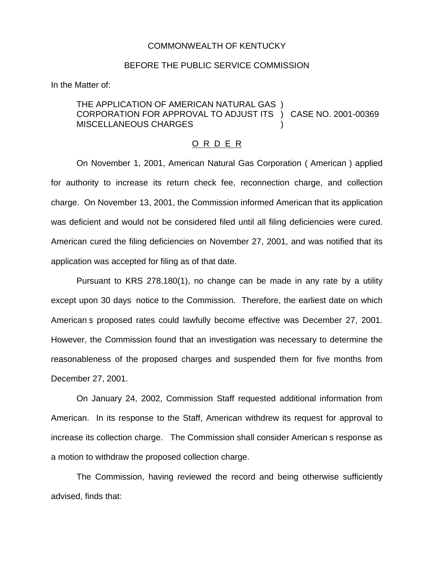## COMMONWEALTH OF KENTUCKY

## BEFORE THE PUBLIC SERVICE COMMISSION

In the Matter of:

## THE APPLICATION OF AMERICAN NATURAL GAS ) CORPORATION FOR APPROVAL TO ADJUST ITS ) CASE NO. 2001-00369 MISCELLANEOUS CHARGES )

## O R D E R

On November 1, 2001, American Natural Gas Corporation ( American ) applied for authority to increase its return check fee, reconnection charge, and collection charge. On November 13, 2001, the Commission informed American that its application was deficient and would not be considered filed until all filing deficiencies were cured. American cured the filing deficiencies on November 27, 2001, and was notified that its application was accepted for filing as of that date.

Pursuant to KRS 278.180(1), no change can be made in any rate by a utility except upon 30 days notice to the Commission. Therefore, the earliest date on which American s proposed rates could lawfully become effective was December 27, 2001. However, the Commission found that an investigation was necessary to determine the reasonableness of the proposed charges and suspended them for five months from December 27, 2001.

On January 24, 2002, Commission Staff requested additional information from American. In its response to the Staff, American withdrew its request for approval to increase its collection charge. The Commission shall consider American s response as a motion to withdraw the proposed collection charge.

The Commission, having reviewed the record and being otherwise sufficiently advised, finds that: